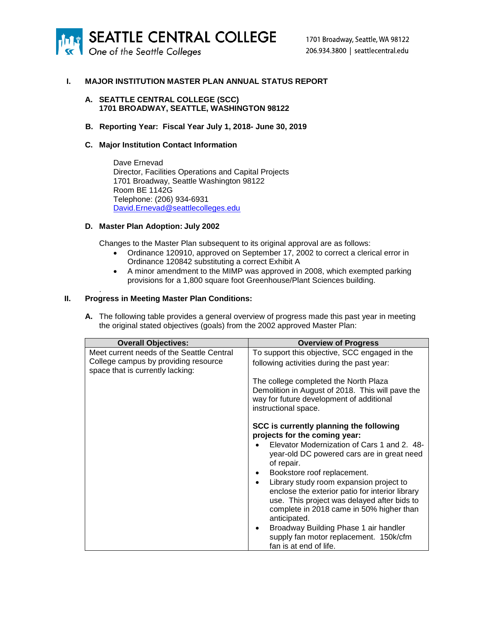

## **I. MAJOR INSTITUTION MASTER PLAN ANNUAL STATUS REPORT**

### **A. SEATTLE CENTRAL COLLEGE (SCC) 1701 BROADWAY, SEATTLE, WASHINGTON 98122**

### **B. Reporting Year: Fiscal Year July 1, 2018- June 30, 2019**

### **C. Major Institution Contact Information**

Dave Ernevad Director, Facilities Operations and Capital Projects 1701 Broadway, Seattle Washington 98122 Room BE 1142G Telephone: (206) 934-6931 [David.Ernevad@seattlecolleges.edu](mailto:david.ernevad@seattlecolleges.edu)

### **D. Master Plan Adoption: July 2002**

Changes to the Master Plan subsequent to its original approval are as follows:

- Ordinance 120910, approved on September 17, 2002 to correct a clerical error in Ordinance 120842 substituting a correct Exhibit A
- A minor amendment to the MIMP was approved in 2008, which exempted parking provisions for a 1,800 square foot Greenhouse/Plant Sciences building.

## **II. Progress in Meeting Master Plan Conditions:**

.

**A.** The following table provides a general overview of progress made this past year in meeting the original stated objectives (goals) from the 2002 approved Master Plan:

| <b>Overall Objectives:</b>                                               | <b>Overview of Progress</b>                                                                                                                                                                                        |
|--------------------------------------------------------------------------|--------------------------------------------------------------------------------------------------------------------------------------------------------------------------------------------------------------------|
| Meet current needs of the Seattle Central                                | To support this objective, SCC engaged in the                                                                                                                                                                      |
| College campus by providing resource<br>space that is currently lacking: | following activities during the past year:                                                                                                                                                                         |
|                                                                          | The college completed the North Plaza<br>Demolition in August of 2018. This will pave the<br>way for future development of additional<br>instructional space.                                                      |
|                                                                          | SCC is currently planning the following<br>projects for the coming year:                                                                                                                                           |
|                                                                          | Elevator Modernization of Cars 1 and 2. 48-<br>year-old DC powered cars are in great need<br>of repair.                                                                                                            |
|                                                                          | Bookstore roof replacement.<br>٠                                                                                                                                                                                   |
|                                                                          | Library study room expansion project to<br>$\bullet$<br>enclose the exterior patio for interior library<br>use. This project was delayed after bids to<br>complete in 2018 came in 50% higher than<br>anticipated. |
|                                                                          | Broadway Building Phase 1 air handler<br>٠<br>supply fan motor replacement. 150k/cfm<br>fan is at end of life.                                                                                                     |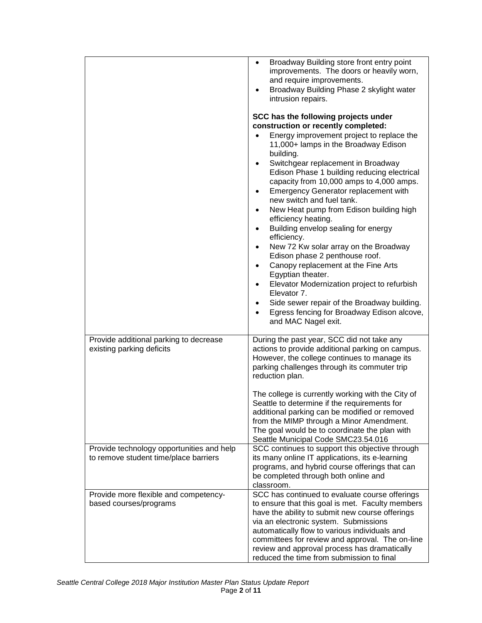|                                                                                    | Broadway Building store front entry point<br>$\bullet$<br>improvements. The doors or heavily worn,<br>and require improvements.<br>Broadway Building Phase 2 skylight water<br>intrusion repairs.<br>SCC has the following projects under<br>construction or recently completed:<br>Energy improvement project to replace the<br>11,000+ lamps in the Broadway Edison<br>building.<br>Switchgear replacement in Broadway<br>Edison Phase 1 building reducing electrical<br>capacity from 10,000 amps to 4,000 amps.<br>Emergency Generator replacement with<br>$\bullet$<br>new switch and fuel tank.<br>New Heat pump from Edison building high<br>$\bullet$<br>efficiency heating.<br>Building envelop sealing for energy<br>$\bullet$<br>efficiency.<br>New 72 Kw solar array on the Broadway<br>$\bullet$<br>Edison phase 2 penthouse roof.<br>Canopy replacement at the Fine Arts<br>$\bullet$<br>Egyptian theater.<br>Elevator Modernization project to refurbish<br>٠<br>Elevator 7.<br>Side sewer repair of the Broadway building.<br>٠<br>Egress fencing for Broadway Edison alcove,<br>$\bullet$<br>and MAC Nagel exit. |
|------------------------------------------------------------------------------------|-----------------------------------------------------------------------------------------------------------------------------------------------------------------------------------------------------------------------------------------------------------------------------------------------------------------------------------------------------------------------------------------------------------------------------------------------------------------------------------------------------------------------------------------------------------------------------------------------------------------------------------------------------------------------------------------------------------------------------------------------------------------------------------------------------------------------------------------------------------------------------------------------------------------------------------------------------------------------------------------------------------------------------------------------------------------------------------------------------------------------------------|
| Provide additional parking to decrease<br>existing parking deficits                | During the past year, SCC did not take any<br>actions to provide additional parking on campus.<br>However, the college continues to manage its<br>parking challenges through its commuter trip<br>reduction plan.                                                                                                                                                                                                                                                                                                                                                                                                                                                                                                                                                                                                                                                                                                                                                                                                                                                                                                                 |
|                                                                                    | The college is currently working with the City of<br>Seattle to determine if the requirements for<br>additional parking can be modified or removed<br>from the MIMP through a Minor Amendment.<br>The goal would be to coordinate the plan with<br>Seattle Municipal Code SMC23.54.016                                                                                                                                                                                                                                                                                                                                                                                                                                                                                                                                                                                                                                                                                                                                                                                                                                            |
| Provide technology opportunities and help<br>to remove student time/place barriers | SCC continues to support this objective through<br>its many online IT applications, its e-learning<br>programs, and hybrid course offerings that can<br>be completed through both online and<br>classroom.                                                                                                                                                                                                                                                                                                                                                                                                                                                                                                                                                                                                                                                                                                                                                                                                                                                                                                                        |
| Provide more flexible and competency-<br>based courses/programs                    | SCC has continued to evaluate course offerings<br>to ensure that this goal is met. Faculty members<br>have the ability to submit new course offerings<br>via an electronic system. Submissions<br>automatically flow to various individuals and<br>committees for review and approval. The on-line<br>review and approval process has dramatically<br>reduced the time from submission to final                                                                                                                                                                                                                                                                                                                                                                                                                                                                                                                                                                                                                                                                                                                                   |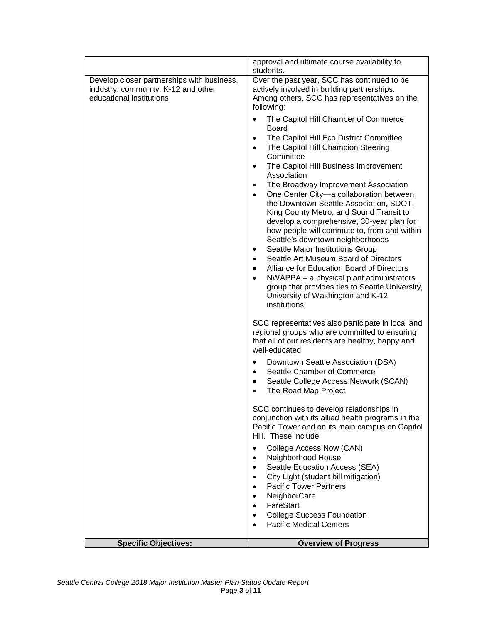|                                                                                                               | approval and ultimate course availability to<br>students.                                                                                                                                                                                                                                                                                                                                                                                                                                                                                                                                                                                                                                                                                                                                                                                                                                                        |
|---------------------------------------------------------------------------------------------------------------|------------------------------------------------------------------------------------------------------------------------------------------------------------------------------------------------------------------------------------------------------------------------------------------------------------------------------------------------------------------------------------------------------------------------------------------------------------------------------------------------------------------------------------------------------------------------------------------------------------------------------------------------------------------------------------------------------------------------------------------------------------------------------------------------------------------------------------------------------------------------------------------------------------------|
| Develop closer partnerships with business,<br>industry, community, K-12 and other<br>educational institutions | Over the past year, SCC has continued to be<br>actively involved in building partnerships.<br>Among others, SCC has representatives on the<br>following:                                                                                                                                                                                                                                                                                                                                                                                                                                                                                                                                                                                                                                                                                                                                                         |
|                                                                                                               | The Capitol Hill Chamber of Commerce<br>$\bullet$<br>Board<br>The Capitol Hill Eco District Committee<br>$\bullet$<br>The Capitol Hill Champion Steering<br>$\bullet$<br>Committee<br>The Capitol Hill Business Improvement<br>$\bullet$<br>Association<br>The Broadway Improvement Association<br>$\bullet$<br>One Center City-a collaboration between<br>$\bullet$<br>the Downtown Seattle Association, SDOT,<br>King County Metro, and Sound Transit to<br>develop a comprehensive, 30-year plan for<br>how people will commute to, from and within<br>Seattle's downtown neighborhoods<br>Seattle Major Institutions Group<br>Seattle Art Museum Board of Directors<br>$\bullet$<br>Alliance for Education Board of Directors<br>$\bullet$<br>NWAPPA - a physical plant administrators<br>$\bullet$<br>group that provides ties to Seattle University,<br>University of Washington and K-12<br>institutions. |
|                                                                                                               | SCC representatives also participate in local and<br>regional groups who are committed to ensuring<br>that all of our residents are healthy, happy and<br>well-educated:                                                                                                                                                                                                                                                                                                                                                                                                                                                                                                                                                                                                                                                                                                                                         |
|                                                                                                               | Downtown Seattle Association (DSA)<br>$\bullet$<br>Seattle Chamber of Commerce<br>$\bullet$<br>Seattle College Access Network (SCAN)<br>$\bullet$<br>The Road Map Project                                                                                                                                                                                                                                                                                                                                                                                                                                                                                                                                                                                                                                                                                                                                        |
|                                                                                                               | SCC continues to develop relationships in<br>conjunction with its allied health programs in the<br>Pacific Tower and on its main campus on Capitol<br>Hill. These include:                                                                                                                                                                                                                                                                                                                                                                                                                                                                                                                                                                                                                                                                                                                                       |
|                                                                                                               | College Access Now (CAN)<br>Neighborhood House<br>Seattle Education Access (SEA)<br>City Light (student bill mitigation)<br><b>Pacific Tower Partners</b><br>NeighborCare<br>FareStart<br>٠                                                                                                                                                                                                                                                                                                                                                                                                                                                                                                                                                                                                                                                                                                                      |
|                                                                                                               | <b>College Success Foundation</b><br>٠<br><b>Pacific Medical Centers</b>                                                                                                                                                                                                                                                                                                                                                                                                                                                                                                                                                                                                                                                                                                                                                                                                                                         |
| <b>Specific Objectives:</b>                                                                                   | <b>Overview of Progress</b>                                                                                                                                                                                                                                                                                                                                                                                                                                                                                                                                                                                                                                                                                                                                                                                                                                                                                      |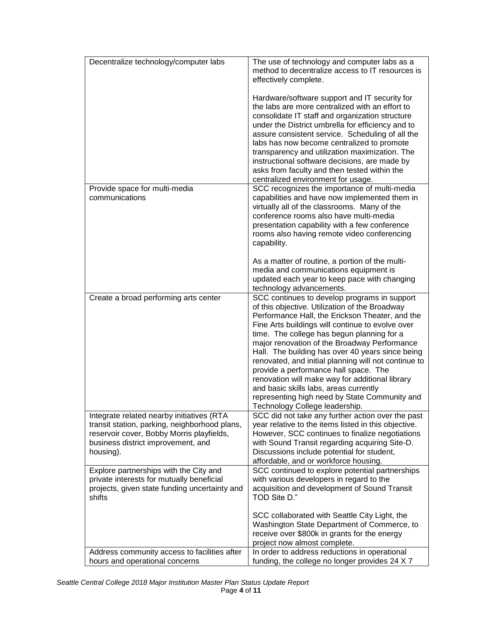| Decentralize technology/computer labs                                                                                                                                                      | The use of technology and computer labs as a<br>method to decentralize access to IT resources is<br>effectively complete.                                                                                                                                                                                                                                                                                                                                                                                                                                                                                                                |
|--------------------------------------------------------------------------------------------------------------------------------------------------------------------------------------------|------------------------------------------------------------------------------------------------------------------------------------------------------------------------------------------------------------------------------------------------------------------------------------------------------------------------------------------------------------------------------------------------------------------------------------------------------------------------------------------------------------------------------------------------------------------------------------------------------------------------------------------|
|                                                                                                                                                                                            | Hardware/software support and IT security for<br>the labs are more centralized with an effort to<br>consolidate IT staff and organization structure<br>under the District umbrella for efficiency and to<br>assure consistent service. Scheduling of all the<br>labs has now become centralized to promote<br>transparency and utilization maximization. The<br>instructional software decisions, are made by<br>asks from faculty and then tested within the<br>centralized environment for usage.                                                                                                                                      |
| Provide space for multi-media<br>communications                                                                                                                                            | SCC recognizes the importance of multi-media<br>capabilities and have now implemented them in<br>virtually all of the classrooms. Many of the<br>conference rooms also have multi-media<br>presentation capability with a few conference<br>rooms also having remote video conferencing<br>capability.                                                                                                                                                                                                                                                                                                                                   |
|                                                                                                                                                                                            | As a matter of routine, a portion of the multi-<br>media and communications equipment is<br>updated each year to keep pace with changing<br>technology advancements.                                                                                                                                                                                                                                                                                                                                                                                                                                                                     |
| Create a broad performing arts center                                                                                                                                                      | SCC continues to develop programs in support<br>of this objective. Utilization of the Broadway<br>Performance Hall, the Erickson Theater, and the<br>Fine Arts buildings will continue to evolve over<br>time. The college has begun planning for a<br>major renovation of the Broadway Performance<br>Hall. The building has over 40 years since being<br>renovated, and initial planning will not continue to<br>provide a performance hall space. The<br>renovation will make way for additional library<br>and basic skills labs, areas currently<br>representing high need by State Community and<br>Technology College leadership. |
| Integrate related nearby initiatives (RTA<br>transit station, parking, neighborhood plans,<br>reservoir cover, Bobby Morris playfields,<br>business district improvement, and<br>housing). | SCC did not take any further action over the past<br>year relative to the items listed in this objective.<br>However, SCC continues to finalize negotiations<br>with Sound Transit regarding acquiring Site-D.<br>Discussions include potential for student,<br>affordable, and or workforce housing.                                                                                                                                                                                                                                                                                                                                    |
| Explore partnerships with the City and<br>private interests for mutually beneficial<br>projects, given state funding uncertainty and<br>shifts                                             | SCC continued to explore potential partnerships<br>with various developers in regard to the<br>acquisition and development of Sound Transit<br>TOD Site D."                                                                                                                                                                                                                                                                                                                                                                                                                                                                              |
|                                                                                                                                                                                            | SCC collaborated with Seattle City Light, the<br>Washington State Department of Commerce, to<br>receive over \$800k in grants for the energy<br>project now almost complete.                                                                                                                                                                                                                                                                                                                                                                                                                                                             |
| Address community access to facilities after<br>hours and operational concerns                                                                                                             | In order to address reductions in operational<br>funding, the college no longer provides 24 X 7                                                                                                                                                                                                                                                                                                                                                                                                                                                                                                                                          |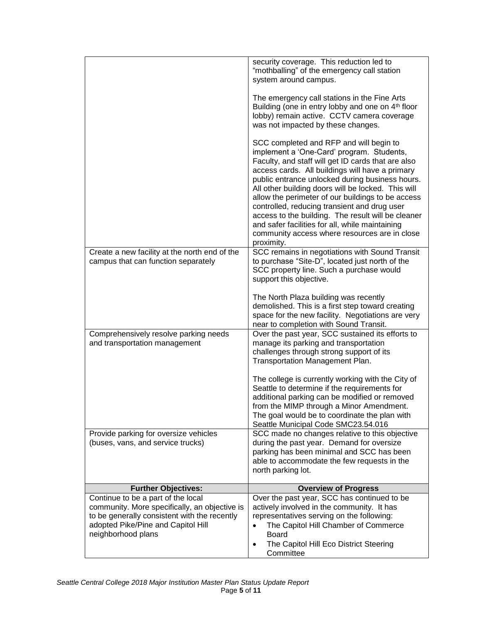|                                                                                                                                                                                                 | security coverage. This reduction led to<br>"mothballing" of the emergency call station<br>system around campus.                                                                                                                                                                                                                                                                                                                                                                                                                                                                    |
|-------------------------------------------------------------------------------------------------------------------------------------------------------------------------------------------------|-------------------------------------------------------------------------------------------------------------------------------------------------------------------------------------------------------------------------------------------------------------------------------------------------------------------------------------------------------------------------------------------------------------------------------------------------------------------------------------------------------------------------------------------------------------------------------------|
|                                                                                                                                                                                                 | The emergency call stations in the Fine Arts<br>Building (one in entry lobby and one on 4 <sup>th</sup> floor<br>lobby) remain active. CCTV camera coverage<br>was not impacted by these changes.                                                                                                                                                                                                                                                                                                                                                                                   |
|                                                                                                                                                                                                 | SCC completed and RFP and will begin to<br>implement a 'One-Card' program. Students,<br>Faculty, and staff will get ID cards that are also<br>access cards. All buildings will have a primary<br>public entrance unlocked during business hours.<br>All other building doors will be locked. This will<br>allow the perimeter of our buildings to be access<br>controlled, reducing transient and drug user<br>access to the building. The result will be cleaner<br>and safer facilities for all, while maintaining<br>community access where resources are in close<br>proximity. |
| Create a new facility at the north end of the<br>campus that can function separately                                                                                                            | SCC remains in negotiations with Sound Transit<br>to purchase "Site-D", located just north of the<br>SCC property line. Such a purchase would<br>support this objective.                                                                                                                                                                                                                                                                                                                                                                                                            |
|                                                                                                                                                                                                 | The North Plaza building was recently<br>demolished. This is a first step toward creating<br>space for the new facility. Negotiations are very<br>near to completion with Sound Transit.                                                                                                                                                                                                                                                                                                                                                                                            |
| Comprehensively resolve parking needs<br>and transportation management                                                                                                                          | Over the past year, SCC sustained its efforts to<br>manage its parking and transportation<br>challenges through strong support of its<br>Transportation Management Plan.                                                                                                                                                                                                                                                                                                                                                                                                            |
|                                                                                                                                                                                                 | The college is currently working with the City of<br>Seattle to determine if the requirements for<br>additional parking can be modified or removed<br>from the MIMP through a Minor Amendment.<br>The goal would be to coordinate the plan with<br>Seattle Municipal Code SMC23.54.016                                                                                                                                                                                                                                                                                              |
| Provide parking for oversize vehicles<br>(buses, vans, and service trucks)                                                                                                                      | SCC made no changes relative to this objective<br>during the past year. Demand for oversize<br>parking has been minimal and SCC has been<br>able to accommodate the few requests in the<br>north parking lot.                                                                                                                                                                                                                                                                                                                                                                       |
| <b>Further Objectives:</b>                                                                                                                                                                      | <b>Overview of Progress</b>                                                                                                                                                                                                                                                                                                                                                                                                                                                                                                                                                         |
| Continue to be a part of the local<br>community. More specifically, an objective is<br>to be generally consistent with the recently<br>adopted Pike/Pine and Capitol Hill<br>neighborhood plans | Over the past year, SCC has continued to be<br>actively involved in the community. It has<br>representatives serving on the following:<br>The Capitol Hill Chamber of Commerce<br><b>Board</b><br>The Capitol Hill Eco District Steering<br>٠<br>Committee                                                                                                                                                                                                                                                                                                                          |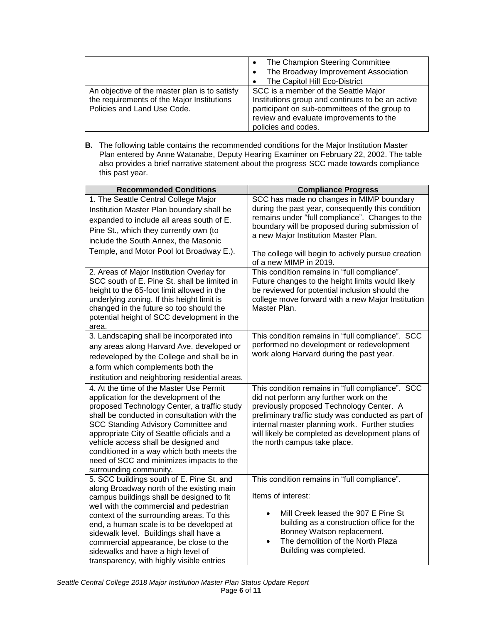|                                                                                                                            | The Champion Steering Committee<br>The Broadway Improvement Association<br>The Capitol Hill Eco-District                                                                                                    |
|----------------------------------------------------------------------------------------------------------------------------|-------------------------------------------------------------------------------------------------------------------------------------------------------------------------------------------------------------|
| An objective of the master plan is to satisfy<br>the requirements of the Major Institutions<br>Policies and Land Use Code. | SCC is a member of the Seattle Major<br>Institutions group and continues to be an active<br>participant on sub-committees of the group to<br>review and evaluate improvements to the<br>policies and codes. |

**B.** The following table contains the recommended conditions for the Major Institution Master Plan entered by Anne Watanabe, Deputy Hearing Examiner on February 22, 2002. The table also provides a brief narrative statement about the progress SCC made towards compliance this past year.

| <b>Recommended Conditions</b>                                                                                                                                                                                                                                                                                                                                                                                                                  | <b>Compliance Progress</b>                                                                                                                                                                                                                                                                                                          |
|------------------------------------------------------------------------------------------------------------------------------------------------------------------------------------------------------------------------------------------------------------------------------------------------------------------------------------------------------------------------------------------------------------------------------------------------|-------------------------------------------------------------------------------------------------------------------------------------------------------------------------------------------------------------------------------------------------------------------------------------------------------------------------------------|
| 1. The Seattle Central College Major<br>Institution Master Plan boundary shall be<br>expanded to include all areas south of E.<br>Pine St., which they currently own (to<br>include the South Annex, the Masonic<br>Temple, and Motor Pool lot Broadway E.).                                                                                                                                                                                   | SCC has made no changes in MIMP boundary<br>during the past year, consequently this condition<br>remains under "full compliance". Changes to the<br>boundary will be proposed during submission of<br>a new Major Institution Master Plan.<br>The college will begin to actively pursue creation<br>of a new MIMP in 2019.          |
| 2. Areas of Major Institution Overlay for<br>SCC south of E. Pine St. shall be limited in<br>height to the 65-foot limit allowed in the<br>underlying zoning. If this height limit is<br>changed in the future so too should the<br>potential height of SCC development in the<br>area.                                                                                                                                                        | This condition remains in "full compliance".<br>Future changes to the height limits would likely<br>be reviewed for potential inclusion should the<br>college move forward with a new Major Institution<br>Master Plan.                                                                                                             |
| 3. Landscaping shall be incorporated into<br>any areas along Harvard Ave. developed or<br>redeveloped by the College and shall be in<br>a form which complements both the<br>institution and neighboring residential areas.                                                                                                                                                                                                                    | This condition remains in "full compliance". SCC<br>performed no development or redevelopment<br>work along Harvard during the past year.                                                                                                                                                                                           |
| 4. At the time of the Master Use Permit<br>application for the development of the<br>proposed Technology Center, a traffic study<br>shall be conducted in consultation with the<br>SCC Standing Advisory Committee and<br>appropriate City of Seattle officials and a<br>vehicle access shall be designed and<br>conditioned in a way which both meets the<br>need of SCC and minimizes impacts to the<br>surrounding community.               | This condition remains in "full compliance". SCC<br>did not perform any further work on the<br>previously proposed Technology Center. A<br>preliminary traffic study was conducted as part of<br>internal master planning work. Further studies<br>will likely be completed as development plans of<br>the north campus take place. |
| 5. SCC buildings south of E. Pine St. and<br>along Broadway north of the existing main<br>campus buildings shall be designed to fit<br>well with the commercial and pedestrian<br>context of the surrounding areas. To this<br>end, a human scale is to be developed at<br>sidewalk level. Buildings shall have a<br>commercial appearance, be close to the<br>sidewalks and have a high level of<br>transparency, with highly visible entries | This condition remains in "full compliance".<br>Items of interest:<br>Mill Creek leased the 907 E Pine St<br>building as a construction office for the<br>Bonney Watson replacement.<br>The demolition of the North Plaza<br>$\bullet$<br>Building was completed.                                                                   |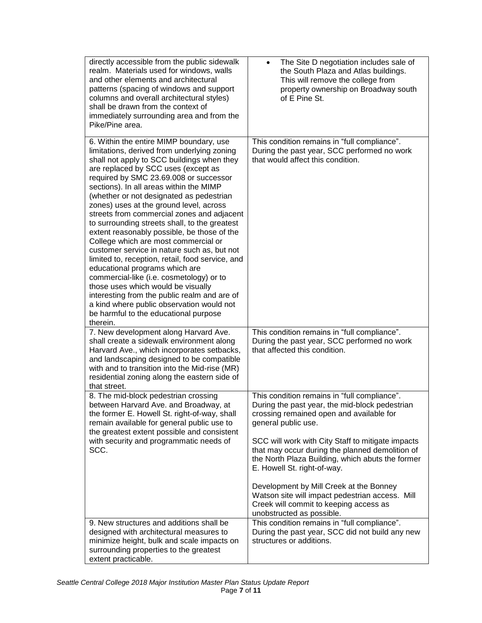| directly accessible from the public sidewalk<br>realm. Materials used for windows, walls<br>and other elements and architectural<br>patterns (spacing of windows and support<br>columns and overall architectural styles)<br>shall be drawn from the context of<br>immediately surrounding area and from the<br>Pike/Pine area.                                                                                                                                                                                                                                                                                                                                                                                                                                                                                                                                                                                        | The Site D negotiation includes sale of<br>$\bullet$<br>the South Plaza and Atlas buildings.<br>This will remove the college from<br>property ownership on Broadway south<br>of E Pine St.                                                                                                                                                                                                                                                                                                                                        |
|------------------------------------------------------------------------------------------------------------------------------------------------------------------------------------------------------------------------------------------------------------------------------------------------------------------------------------------------------------------------------------------------------------------------------------------------------------------------------------------------------------------------------------------------------------------------------------------------------------------------------------------------------------------------------------------------------------------------------------------------------------------------------------------------------------------------------------------------------------------------------------------------------------------------|-----------------------------------------------------------------------------------------------------------------------------------------------------------------------------------------------------------------------------------------------------------------------------------------------------------------------------------------------------------------------------------------------------------------------------------------------------------------------------------------------------------------------------------|
| 6. Within the entire MIMP boundary, use<br>limitations, derived from underlying zoning<br>shall not apply to SCC buildings when they<br>are replaced by SCC uses (except as<br>required by SMC 23.69.008 or successor<br>sections). In all areas within the MIMP<br>(whether or not designated as pedestrian<br>zones) uses at the ground level, across<br>streets from commercial zones and adjacent<br>to surrounding streets shall, to the greatest<br>extent reasonably possible, be those of the<br>College which are most commercial or<br>customer service in nature such as, but not<br>limited to, reception, retail, food service, and<br>educational programs which are<br>commercial-like (i.e. cosmetology) or to<br>those uses which would be visually<br>interesting from the public realm and are of<br>a kind where public observation would not<br>be harmful to the educational purpose<br>therein. | This condition remains in "full compliance".<br>During the past year, SCC performed no work<br>that would affect this condition.                                                                                                                                                                                                                                                                                                                                                                                                  |
| 7. New development along Harvard Ave.<br>shall create a sidewalk environment along<br>Harvard Ave., which incorporates setbacks,<br>and landscaping designed to be compatible<br>with and to transition into the Mid-rise (MR)<br>residential zoning along the eastern side of<br>that street.                                                                                                                                                                                                                                                                                                                                                                                                                                                                                                                                                                                                                         | This condition remains in "full compliance".<br>During the past year, SCC performed no work<br>that affected this condition.                                                                                                                                                                                                                                                                                                                                                                                                      |
| 8. The mid-block pedestrian crossing<br>between Harvard Ave. and Broadway, at<br>the former E. Howell St. right-of-way, shall<br>remain available for general public use to<br>the greatest extent possible and consistent<br>with security and programmatic needs of<br>SCC.                                                                                                                                                                                                                                                                                                                                                                                                                                                                                                                                                                                                                                          | This condition remains in "full compliance".<br>During the past year, the mid-block pedestrian<br>crossing remained open and available for<br>general public use.<br>SCC will work with City Staff to mitigate impacts<br>that may occur during the planned demolition of<br>the North Plaza Building, which abuts the former<br>E. Howell St. right-of-way.<br>Development by Mill Creek at the Bonney<br>Watson site will impact pedestrian access. Mill<br>Creek will commit to keeping access as<br>unobstructed as possible. |
| 9. New structures and additions shall be<br>designed with architectural measures to<br>minimize height, bulk and scale impacts on<br>surrounding properties to the greatest<br>extent practicable.                                                                                                                                                                                                                                                                                                                                                                                                                                                                                                                                                                                                                                                                                                                     | This condition remains in "full compliance".<br>During the past year, SCC did not build any new<br>structures or additions.                                                                                                                                                                                                                                                                                                                                                                                                       |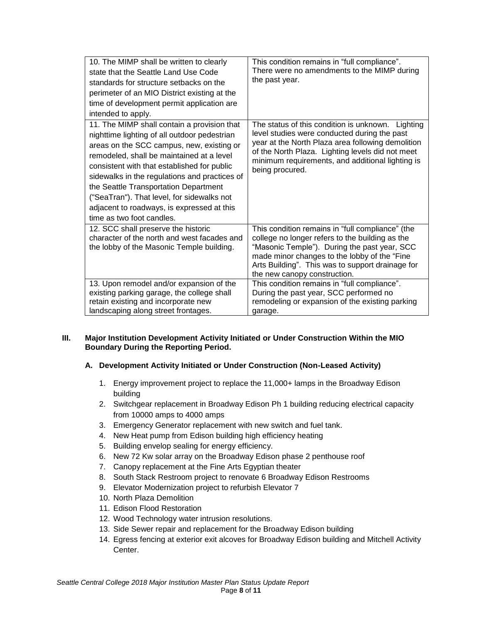| 10. The MIMP shall be written to clearly<br>state that the Seattle Land Use Code<br>standards for structure setbacks on the<br>perimeter of an MIO District existing at the<br>time of development permit application are<br>intended to apply.                                                                                                                                                                                                         | This condition remains in "full compliance".<br>There were no amendments to the MIMP during<br>the past year.                                                                                                                                                                     |
|---------------------------------------------------------------------------------------------------------------------------------------------------------------------------------------------------------------------------------------------------------------------------------------------------------------------------------------------------------------------------------------------------------------------------------------------------------|-----------------------------------------------------------------------------------------------------------------------------------------------------------------------------------------------------------------------------------------------------------------------------------|
| 11. The MIMP shall contain a provision that<br>nighttime lighting of all outdoor pedestrian<br>areas on the SCC campus, new, existing or<br>remodeled, shall be maintained at a level<br>consistent with that established for public<br>sidewalks in the regulations and practices of<br>the Seattle Transportation Department<br>("SeaTran"). That level, for sidewalks not<br>adjacent to roadways, is expressed at this<br>time as two foot candles. | The status of this condition is unknown. Lighting<br>level studies were conducted during the past<br>year at the North Plaza area following demolition<br>of the North Plaza. Lighting levels did not meet<br>minimum requirements, and additional lighting is<br>being procured. |
| 12. SCC shall preserve the historic<br>character of the north and west facades and<br>the lobby of the Masonic Temple building.                                                                                                                                                                                                                                                                                                                         | This condition remains in "full compliance" (the<br>college no longer refers to the building as the<br>"Masonic Temple"). During the past year, SCC<br>made minor changes to the lobby of the "Fine                                                                               |
|                                                                                                                                                                                                                                                                                                                                                                                                                                                         | Arts Building". This was to support drainage for<br>the new canopy construction.                                                                                                                                                                                                  |
| 13. Upon remodel and/or expansion of the<br>existing parking garage, the college shall<br>retain existing and incorporate new<br>landscaping along street frontages.                                                                                                                                                                                                                                                                                    | This condition remains in "full compliance".<br>During the past year, SCC performed no<br>remodeling or expansion of the existing parking<br>garage.                                                                                                                              |

## **III. Major Institution Development Activity Initiated or Under Construction Within the MIO Boundary During the Reporting Period.**

# **A. Development Activity Initiated or Under Construction (Non-Leased Activity)**

- 1. Energy improvement project to replace the 11,000+ lamps in the Broadway Edison building
- 2. Switchgear replacement in Broadway Edison Ph 1 building reducing electrical capacity from 10000 amps to 4000 amps
- 3. Emergency Generator replacement with new switch and fuel tank.
- 4. New Heat pump from Edison building high efficiency heating
- 5. Building envelop sealing for energy efficiency.
- 6. New 72 Kw solar array on the Broadway Edison phase 2 penthouse roof
- 7. Canopy replacement at the Fine Arts Egyptian theater
- 8. South Stack Restroom project to renovate 6 Broadway Edison Restrooms
- 9. Elevator Modernization project to refurbish Elevator 7
- 10. North Plaza Demolition
- 11. Edison Flood Restoration
- 12. Wood Technology water intrusion resolutions.
- 13. Side Sewer repair and replacement for the Broadway Edison building
- 14. Egress fencing at exterior exit alcoves for Broadway Edison building and Mitchell Activity Center.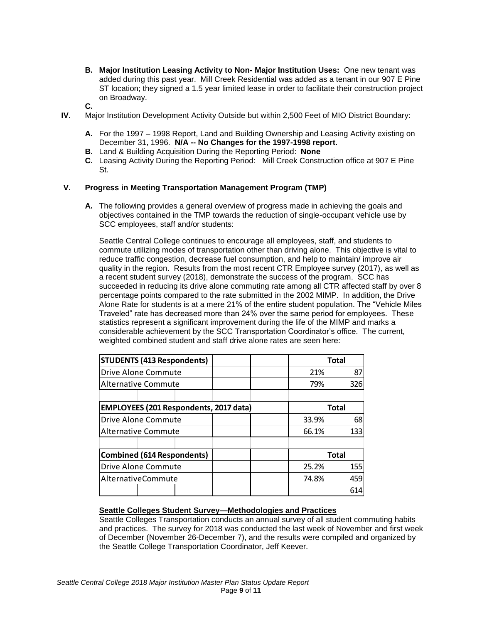- **B. Major Institution Leasing Activity to Non- Major Institution Uses:** One new tenant was added during this past year. Mill Creek Residential was added as a tenant in our 907 E Pine ST location; they signed a 1.5 year limited lease in order to facilitate their construction project on Broadway.
- **C.**
- **IV.** Major Institution Development Activity Outside but within 2,500 Feet of MIO District Boundary:
	- **A.** For the 1997 1998 Report, Land and Building Ownership and Leasing Activity existing on December 31, 1996. **N/A -- No Changes for the 1997-1998 report.**
	- **B.** Land & Building Acquisition During the Reporting Period: **None**
	- **C.** Leasing Activity During the Reporting Period: Mill Creek Construction office at 907 E Pine St.

## **V. Progress in Meeting Transportation Management Program (TMP)**

**A.** The following provides a general overview of progress made in achieving the goals and objectives contained in the TMP towards the reduction of single-occupant vehicle use by SCC employees, staff and/or students:

Seattle Central College continues to encourage all employees, staff, and students to commute utilizing modes of transportation other than driving alone. This objective is vital to reduce traffic congestion, decrease fuel consumption, and help to maintain/ improve air quality in the region. Results from the most recent CTR Employee survey (2017), as well as a recent student survey (2018), demonstrate the success of the program. SCC has succeeded in reducing its drive alone commuting rate among all CTR affected staff by over 8 percentage points compared to the rate submitted in the 2002 MIMP. In addition, the Drive Alone Rate for students is at a mere 21% of the entire student population. The "Vehicle Miles Traveled" rate has decreased more than 24% over the same period for employees. These statistics represent a significant improvement during the life of the MIMP and marks a considerable achievement by the SCC Transportation Coordinator's office. The current, weighted combined student and staff drive alone rates are seen here:

| <b>STUDENTS (413 Respondents)</b>             |  |  |       | <b>Total</b> |     |     |
|-----------------------------------------------|--|--|-------|--------------|-----|-----|
| <b>Drive Alone Commute</b>                    |  |  | 21%   |              | 87  |     |
| <b>Alternative Commute</b>                    |  |  |       | 79%          |     | 326 |
|                                               |  |  |       |              |     |     |
| <b>EMPLOYEES (201 Respondents, 2017 data)</b> |  |  |       | <b>Total</b> |     |     |
| Drive Alone Commute                           |  |  | 33.9% |              | 68  |     |
| <b>Alternative Commute</b>                    |  |  | 66.1% |              | 133 |     |
|                                               |  |  |       |              |     |     |
| <b>Combined (614 Respondents)</b>             |  |  |       | <b>Total</b> |     |     |
| Drive Alone Commute                           |  |  | 25.2% |              | 155 |     |
| AlternativeCommute                            |  |  | 74.8% |              | 459 |     |
|                                               |  |  |       |              |     | 614 |

## **Seattle Colleges Student Survey—Methodologies and Practices**

Seattle Colleges Transportation conducts an annual survey of all student commuting habits and practices. The survey for 2018 was conducted the last week of November and first week of December (November 26-December 7), and the results were compiled and organized by the Seattle College Transportation Coordinator, Jeff Keever.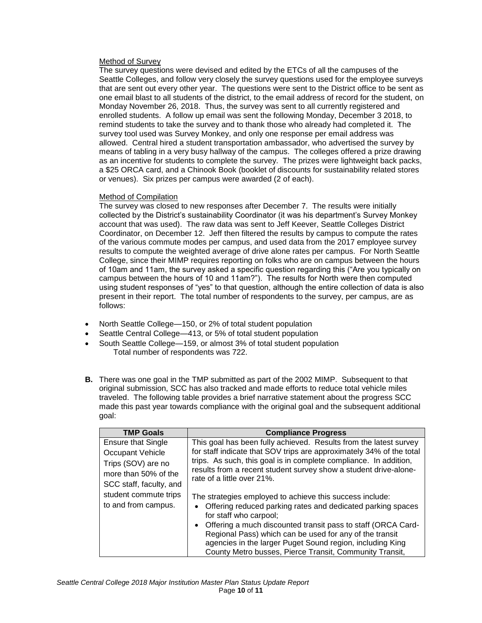## Method of Survey

The survey questions were devised and edited by the ETCs of all the campuses of the Seattle Colleges, and follow very closely the survey questions used for the employee surveys that are sent out every other year. The questions were sent to the District office to be sent as one email blast to all students of the district, to the email address of record for the student, on Monday November 26, 2018. Thus, the survey was sent to all currently registered and enrolled students. A follow up email was sent the following Monday, December 3 2018, to remind students to take the survey and to thank those who already had completed it. The survey tool used was Survey Monkey, and only one response per email address was allowed. Central hired a student transportation ambassador, who advertised the survey by means of tabling in a very busy hallway of the campus. The colleges offered a prize drawing as an incentive for students to complete the survey. The prizes were lightweight back packs, a \$25 ORCA card, and a Chinook Book (booklet of discounts for sustainability related stores or venues). Six prizes per campus were awarded (2 of each).

### Method of Compilation

The survey was closed to new responses after December 7. The results were initially collected by the District's sustainability Coordinator (it was his department's Survey Monkey account that was used). The raw data was sent to Jeff Keever, Seattle Colleges District Coordinator, on December 12. Jeff then filtered the results by campus to compute the rates of the various commute modes per campus, and used data from the 2017 employee survey results to compute the weighted average of drive alone rates per campus. For North Seattle College, since their MIMP requires reporting on folks who are on campus between the hours of 10am and 11am, the survey asked a specific question regarding this ("Are you typically on campus between the hours of 10 and 11am?"). The results for North were then computed using student responses of "yes" to that question, although the entire collection of data is also present in their report. The total number of respondents to the survey, per campus, are as follows:

- North Seattle College—150, or 2% of total student population
- Seattle Central College—413, or 5% of total student population
- South Seattle College—159, or almost 3% of total student population Total number of respondents was 722.
- **B.** There was one goal in the TMP submitted as part of the 2002 MIMP. Subsequent to that original submission, SCC has also tracked and made efforts to reduce total vehicle miles traveled. The following table provides a brief narrative statement about the progress SCC made this past year towards compliance with the original goal and the subsequent additional goal:

| <b>TMP Goals</b>          | <b>Compliance Progress</b>                                                |
|---------------------------|---------------------------------------------------------------------------|
| <b>Ensure that Single</b> | This goal has been fully achieved. Results from the latest survey         |
| Occupant Vehicle          | for staff indicate that SOV trips are approximately 34% of the total      |
| Trips (SOV) are no        | trips. As such, this goal is in complete compliance. In addition,         |
| more than 50% of the      | results from a recent student survey show a student drive-alone-          |
| SCC staff, faculty, and   | rate of a little over 21%.                                                |
| student commute trips     | The strategies employed to achieve this success include:                  |
| to and from campus.       | Offering reduced parking rates and dedicated parking spaces<br>٠          |
|                           | for staff who carpool;                                                    |
|                           | Offering a much discounted transit pass to staff (ORCA Card-<br>$\bullet$ |
|                           | Regional Pass) which can be used for any of the transit                   |
|                           | agencies in the larger Puget Sound region, including King                 |
|                           | County Metro busses, Pierce Transit, Community Transit,                   |